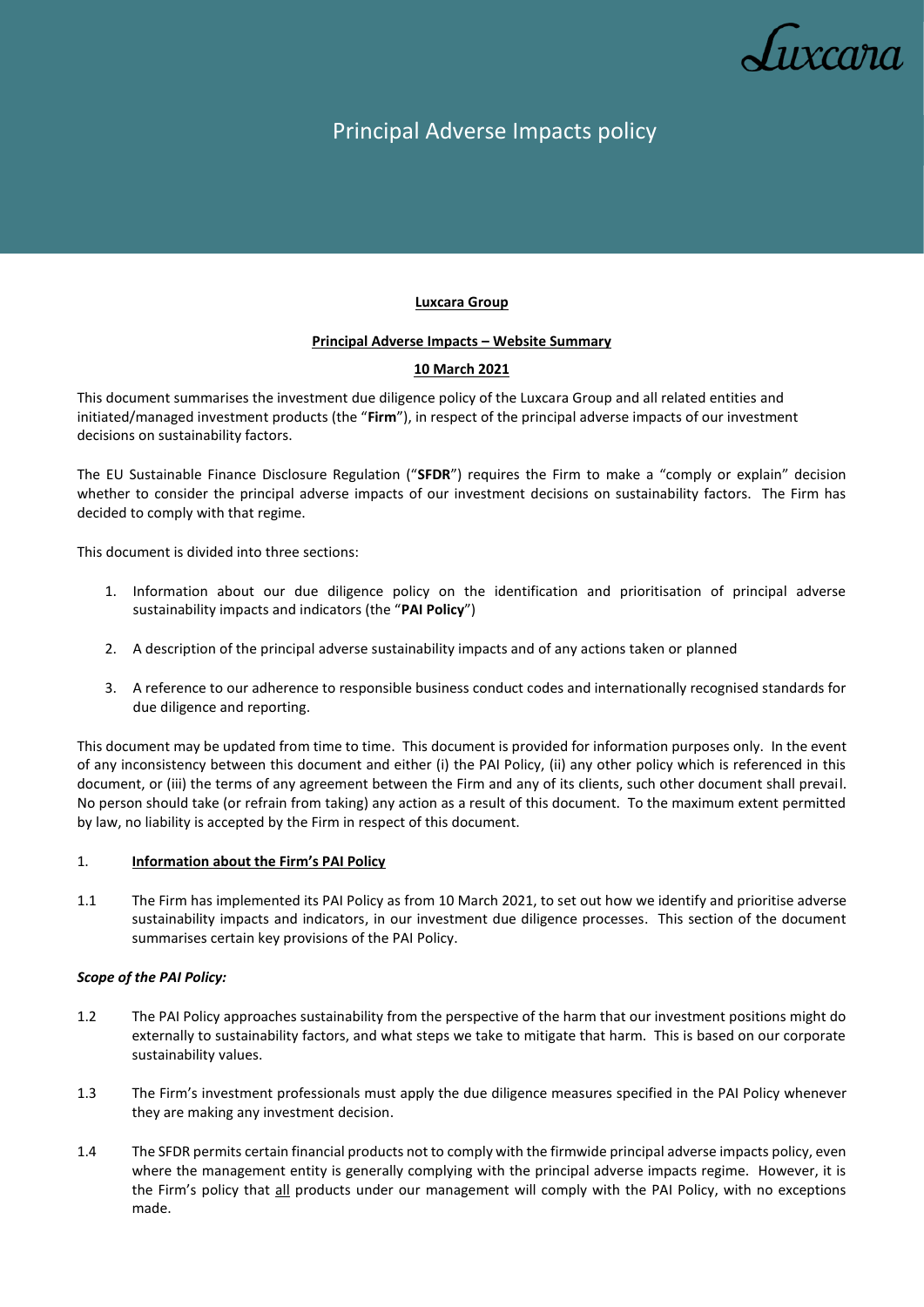

# Principal Adverse Impacts policy

# **Luxcara Group**

### **Principal Adverse Impacts – Website Summary**

# **10 March 2021**

This document summarises the investment due diligence policy of the Luxcara Group and all related entities and initiated/managed investment products (the "**Firm**"), in respect of the principal adverse impacts of our investment decisions on sustainability factors.

The EU Sustainable Finance Disclosure Regulation ("**SFDR**") requires the Firm to make a "comply or explain" decision whether to consider the principal adverse impacts of our investment decisions on sustainability factors. The Firm has decided to comply with that regime.

This document is divided into three sections:

- 1. Information about our due diligence policy on the identification and prioritisation of principal adverse sustainability impacts and indicators (the "**PAI Policy**")
- 2. A description of the principal adverse sustainability impacts and of any actions taken or planned
- 3. A reference to our adherence to responsible business conduct codes and internationally recognised standards for due diligence and reporting.

This document may be updated from time to time. This document is provided for information purposes only. In the event of any inconsistency between this document and either (i) the PAI Policy, (ii) any other policy which is referenced in this document, or (iii) the terms of any agreement between the Firm and any of its clients, such other document shall prevail. No person should take (or refrain from taking) any action as a result of this document. To the maximum extent permitted by law, no liability is accepted by the Firm in respect of this document.

### 1. **Information about the Firm's PAI Policy**

1.1 The Firm has implemented its PAI Policy as from 10 March 2021, to set out how we identify and prioritise adverse sustainability impacts and indicators, in our investment due diligence processes. This section of the document summarises certain key provisions of the PAI Policy.

### *Scope of the PAI Policy:*

- 1.2 The PAI Policy approaches sustainability from the perspective of the harm that our investment positions might do externally to sustainability factors, and what steps we take to mitigate that harm. This is based on our corporate sustainability values.
- 1.3 The Firm's investment professionals must apply the due diligence measures specified in the PAI Policy whenever they are making any investment decision.
- 1.4 The SFDR permits certain financial products not to comply with the firmwide principal adverse impacts policy, even where the management entity is generally complying with the principal adverse impacts regime. However, it is the Firm's policy that all products under our management will comply with the PAI Policy, with no exceptions made.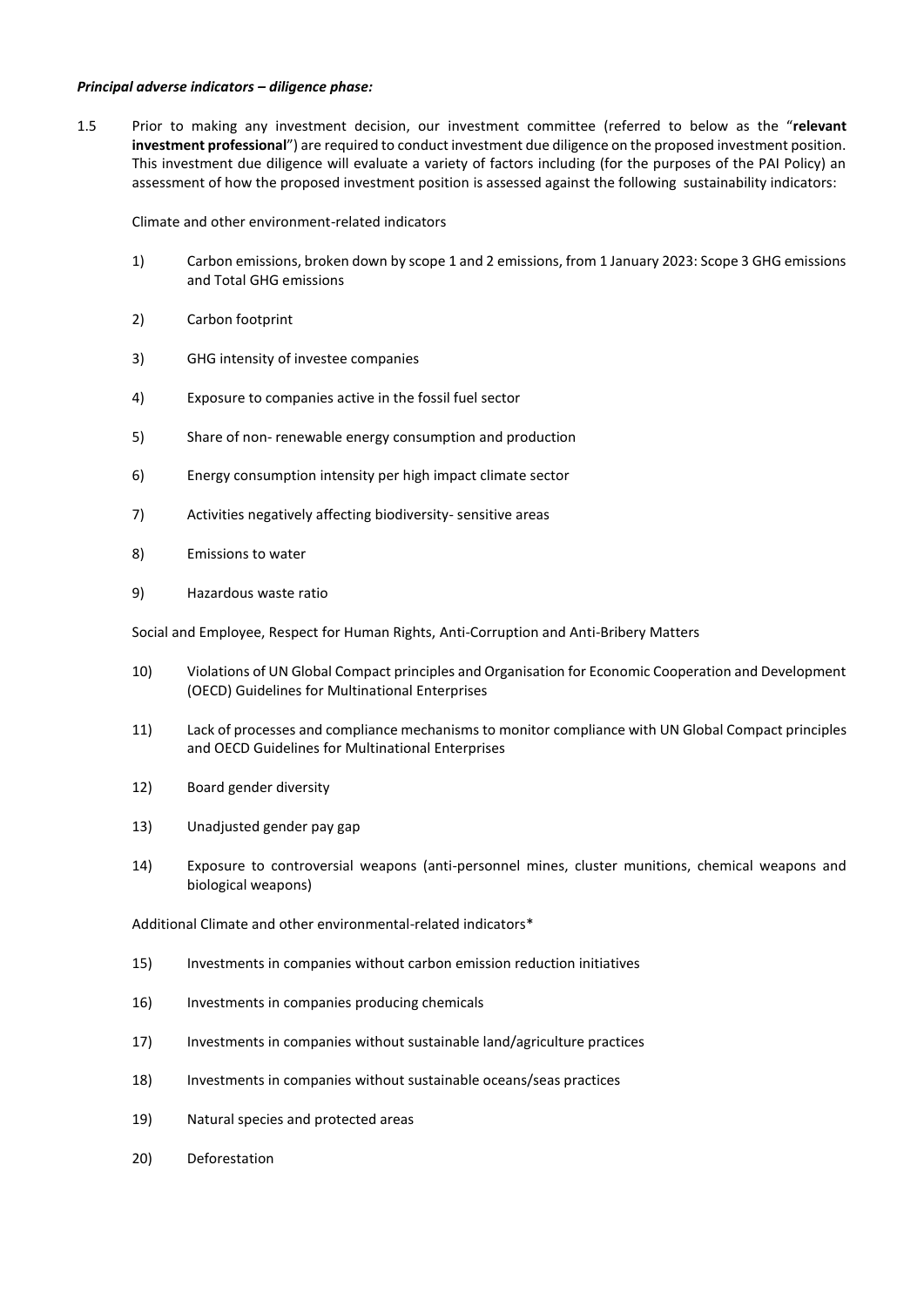#### *Principal adverse indicators – diligence phase:*

1.5 Prior to making any investment decision, our investment committee (referred to below as the "**relevant investment professional**") are required to conduct investment due diligence on the proposed investment position. This investment due diligence will evaluate a variety of factors including (for the purposes of the PAI Policy) an assessment of how the proposed investment position is assessed against the following sustainability indicators:

Climate and other environment-related indicators

- 1) Carbon emissions, broken down by scope 1 and 2 emissions, from 1 January 2023: Scope 3 GHG emissions and Total GHG emissions
- 2) Carbon footprint
- 3) GHG intensity of investee companies
- 4) Exposure to companies active in the fossil fuel sector
- 5) Share of non- renewable energy consumption and production
- 6) Energy consumption intensity per high impact climate sector
- 7) Activities negatively affecting biodiversity- sensitive areas
- 8) Emissions to water
- 9) Hazardous waste ratio

Social and Employee, Respect for Human Rights, Anti-Corruption and Anti-Bribery Matters

- 10) Violations of UN Global Compact principles and Organisation for Economic Cooperation and Development (OECD) Guidelines for Multinational Enterprises
- 11) Lack of processes and compliance mechanisms to monitor compliance with UN Global Compact principles and OECD Guidelines for Multinational Enterprises
- 12) Board gender diversity
- 13) Unadjusted gender pay gap
- 14) Exposure to controversial weapons (anti-personnel mines, cluster munitions, chemical weapons and biological weapons)

Additional Climate and other environmental-related indicators\*

- 15) Investments in companies without carbon emission reduction initiatives
- 16) Investments in companies producing chemicals
- 17) Investments in companies without sustainable land/agriculture practices
- 18) Investments in companies without sustainable oceans/seas practices
- 19) Natural species and protected areas
- 20) Deforestation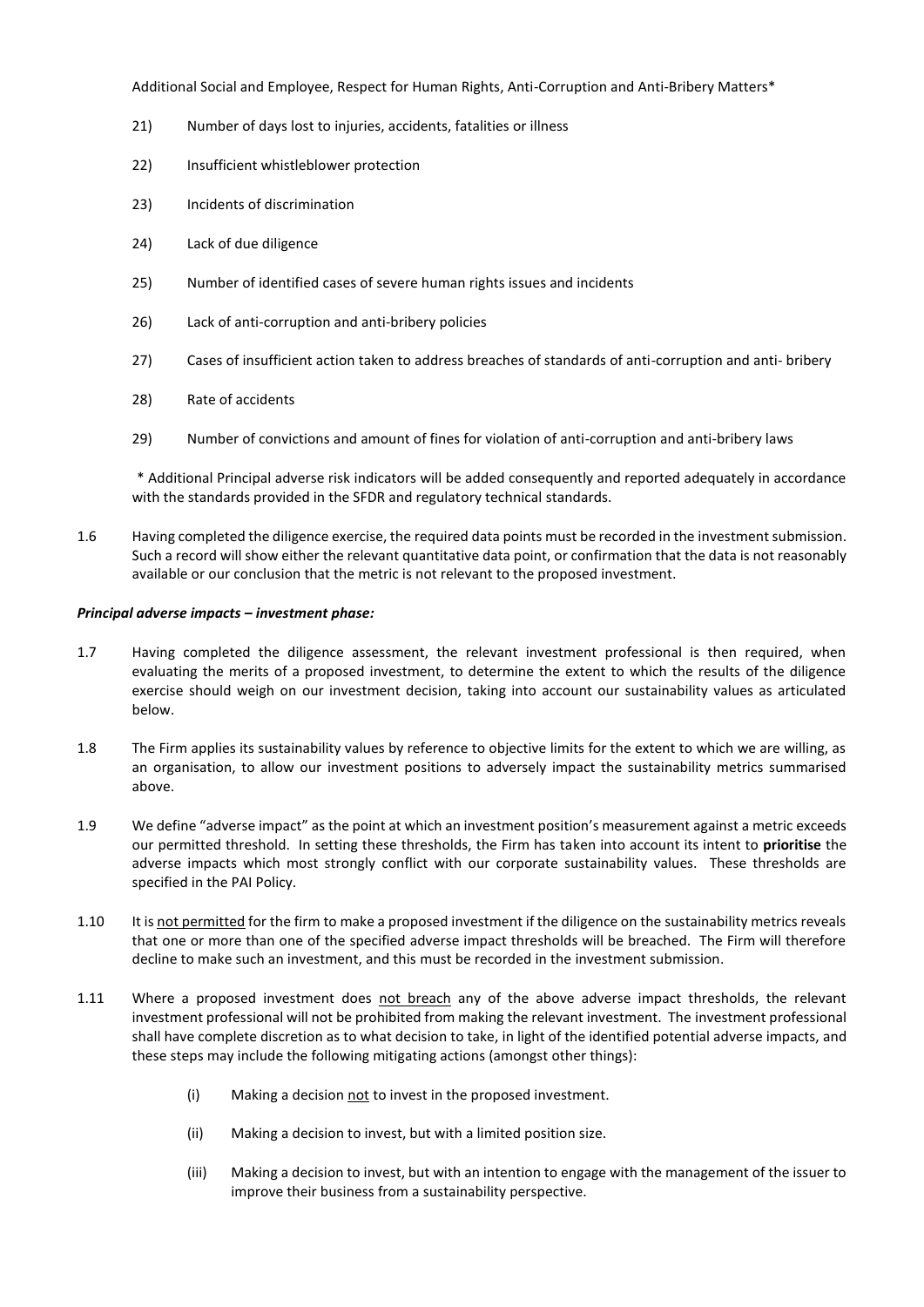Additional Social and Employee, Respect for Human Rights, Anti-Corruption and Anti-Bribery Matters\*

- 21) Number of days lost to injuries, accidents, fatalities or illness
- 22) Insufficient whistleblower protection
- 23) Incidents of discrimination
- 24) Lack of due diligence
- 25) Number of identified cases of severe human rights issues and incidents
- 26) Lack of anti-corruption and anti-bribery policies
- 27) Cases of insufficient action taken to address breaches of standards of anti-corruption and anti- bribery
- 28) Rate of accidents
- 29) Number of convictions and amount of fines for violation of anti-corruption and anti-bribery laws

\* Additional Principal adverse risk indicators will be added consequently and reported adequately in accordance with the standards provided in the SFDR and regulatory technical standards.

1.6 Having completed the diligence exercise, the required data points must be recorded in the investment submission. Such a record will show either the relevant quantitative data point, or confirmation that the data is not reasonably available or our conclusion that the metric is not relevant to the proposed investment.

#### *Principal adverse impacts – investment phase:*

- 1.7 Having completed the diligence assessment, the relevant investment professional is then required, when evaluating the merits of a proposed investment, to determine the extent to which the results of the diligence exercise should weigh on our investment decision, taking into account our sustainability values as articulated below.
- 1.8 The Firm applies its sustainability values by reference to objective limits for the extent to which we are willing, as an organisation, to allow our investment positions to adversely impact the sustainability metrics summarised above.
- 1.9 We define "adverse impact" as the point at which an investment position's measurement against a metric exceeds our permitted threshold. In setting these thresholds, the Firm has taken into account its intent to **prioritise** the adverse impacts which most strongly conflict with our corporate sustainability values. These thresholds are specified in the PAI Policy.
- 1.10 It is not permitted for the firm to make a proposed investment if the diligence on the sustainability metrics reveals that one or more than one of the specified adverse impact thresholds will be breached. The Firm will therefore decline to make such an investment, and this must be recorded in the investment submission.
- 1.11 Where a proposed investment does not breach any of the above adverse impact thresholds, the relevant investment professional will not be prohibited from making the relevant investment. The investment professional shall have complete discretion as to what decision to take, in light of the identified potential adverse impacts, and these steps may include the following mitigating actions (amongst other things):
	- (i) Making a decision not to invest in the proposed investment.
	- (ii) Making a decision to invest, but with a limited position size.
	- (iii) Making a decision to invest, but with an intention to engage with the management of the issuer to improve their business from a sustainability perspective.